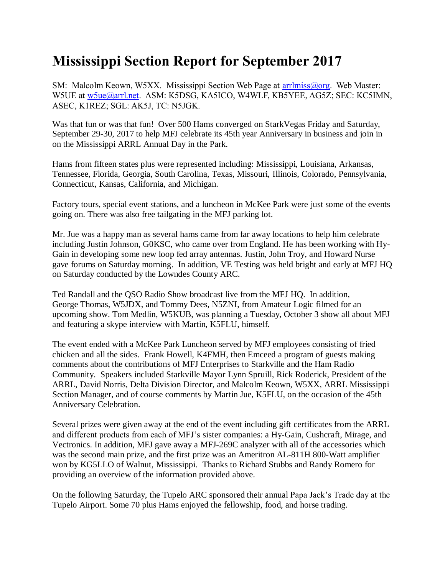## **Mississippi Section Report for September 2017**

SM: Malcolm Keown, W5XX. Mississippi Section Web Page at [arrlmiss@org.](mailto:arrlmiss@org) Web Master: W5UE at [w5ue@arrl.net.](mailto:w5ue@arrl.net) ASM: K5DSG, KA5ICO, W4WLF, KB5YEE, AG5Z; SEC: KC5IMN, ASEC, K1REZ; SGL: AK5J, TC: N5JGK.

Was that fun or was that fun! Over 500 Hams converged on StarkVegas Friday and Saturday, September 29-30, 2017 to help MFJ celebrate its 45th year Anniversary in business and join in on the Mississippi ARRL Annual Day in the Park.

Hams from fifteen states plus were represented including: Mississippi, Louisiana, Arkansas, Tennessee, Florida, Georgia, South Carolina, Texas, Missouri, Illinois, Colorado, Pennsylvania, Connecticut, Kansas, California, and Michigan.

Factory tours, special event stations, and a luncheon in McKee Park were just some of the events going on. There was also free tailgating in the MFJ parking lot.

Mr. Jue was a happy man as several hams came from far away locations to help him celebrate including Justin Johnson, G0KSC, who came over from England. He has been working with Hy-Gain in developing some new loop fed array antennas. Justin, John Troy, and Howard Nurse gave forums on Saturday morning. In addition, VE Testing was held bright and early at MFJ HQ on Saturday conducted by the Lowndes County ARC.

Ted Randall and the QSO Radio Show broadcast live from the MFJ HQ. In addition, George Thomas, W5JDX, and Tommy Dees, N5ZNI, from Amateur Logic filmed for an upcoming show. Tom Medlin, W5KUB, was planning a Tuesday, October 3 show all about MFJ and featuring a skype interview with Martin, K5FLU, himself.

The event ended with a McKee Park Luncheon served by MFJ employees consisting of fried chicken and all the sides. Frank Howell, K4FMH, then Emceed a program of guests making comments about the contributions of MFJ Enterprises to Starkville and the Ham Radio Community. Speakers included Starkville Mayor Lynn Spruill, Rick Roderick, President of the ARRL, David Norris, Delta Division Director, and Malcolm Keown, W5XX, ARRL Mississippi Section Manager, and of course comments by Martin Jue, K5FLU, on the occasion of the 45th Anniversary Celebration.

Several prizes were given away at the end of the event including gift certificates from the ARRL and different products from each of MFJ's sister companies: a Hy-Gain, Cushcraft, Mirage, and Vectronics. In addition, MFJ gave away a MFJ-269C analyzer with all of the accessories which was the second main prize, and the first prize was an Ameritron AL-811H 800-Watt amplifier won by KG5LLO of Walnut, Mississippi. Thanks to Richard Stubbs and Randy Romero for providing an overview of the information provided above.

On the following Saturday, the Tupelo ARC sponsored their annual Papa Jack's Trade day at the Tupelo Airport. Some 70 plus Hams enjoyed the fellowship, food, and horse trading.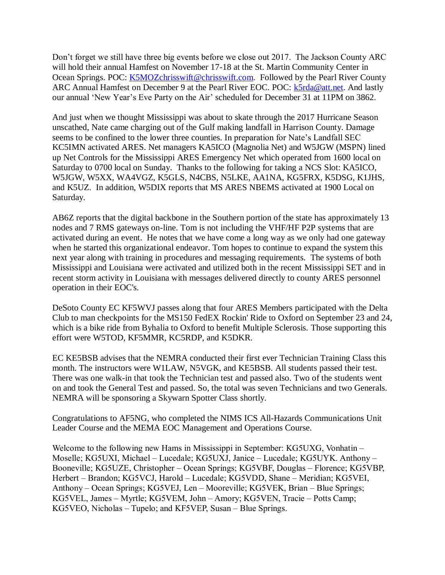Don't forget we still have three big events before we close out 2017. The Jackson County ARC will hold their annual Hamfest on November 17-18 at the St. Martin Community Center in Ocean Springs. POC: [K5MOZchrisswift@chrisswift.com.](mailto:K5MOZchrisswift@chrisswift.com) Followed by the Pearl River County ARC Annual Hamfest on December 9 at the Pearl River EOC. POC: [k5rda@att.net.](mailto:k5rda@att.net) And lastly our annual 'New Year's Eve Party on the Air' scheduled for December 31 at 11PM on 3862.

And just when we thought Mississippi was about to skate through the 2017 Hurricane Season unscathed, Nate came charging out of the Gulf making landfall in Harrison County. Damage seems to be confined to the lower three counties. In preparation for Nate's Landfall SEC KC5IMN activated ARES. Net managers KA5ICO (Magnolia Net) and W5JGW (MSPN) lined up Net Controls for the Mississippi ARES Emergency Net which operated from 1600 local on Saturday to 0700 local on Sunday. Thanks to the following for taking a NCS Slot: KA5ICO, W5JGW, W5XX, WA4VGZ, K5GLS, N4CBS, N5LKE, AA1NA, KG5FRX, K5DSG, K1JHS, and K5UZ. In addition, W5DIX reports that MS ARES NBEMS activated at 1900 Local on Saturday.

AB6Z reports that the digital backbone in the Southern portion of the state has approximately 13 nodes and 7 RMS gateways on-line. Tom is not including the VHF/HF P2P systems that are activated during an event. He notes that we have come a long way as we only had one gateway when he started this organizational endeavor. Tom hopes to continue to expand the system this next year along with training in procedures and messaging requirements. The systems of both Mississippi and Louisiana were activated and utilized both in the recent Mississippi SET and in recent storm activity in Louisiana with messages delivered directly to county ARES personnel operation in their EOC's.

DeSoto County EC KF5WVJ passes along that four ARES Members participated with the Delta Club to man checkpoints for the MS150 FedEX Rockin' Ride to Oxford on September 23 and 24, which is a bike ride from Byhalia to Oxford to benefit Multiple Sclerosis. Those supporting this effort were W5TOD, KF5MMR, KC5RDP, and K5DKR.

EC KE5BSB advises that the NEMRA conducted their first ever Technician Training Class this month. The instructors were W1LAW, N5VGK, and KE5BSB. All students passed their test. There was one walk-in that took the Technician test and passed also. Two of the students went on and took the General Test and passed. So, the total was seven Technicians and two Generals. NEMRA will be sponsoring a Skywarn Spotter Class shortly.

Congratulations to AF5NG, who completed the NIMS ICS All-Hazards Communications Unit Leader Course and the MEMA EOC Management and Operations Course.

Welcome to the following new Hams in Mississippi in September: KG5UXG, Vonhatin – Moselle; KG5UXI, Michael – Lucedale; KG5UXJ, Janice – Lucedale; KG5UYK. Anthony – Booneville; KG5UZE, Christopher – Ocean Springs; KG5VBF, Douglas – Florence; KG5VBP, Herbert – Brandon; KG5VCJ, Harold – Lucedale; KG5VDD, Shane – Meridian; KG5VEI, Anthony – Ocean Springs; KG5VEJ, Len – Mooreville; KG5VEK, Brian – Blue Springs; KG5VEL, James – Myrtle; KG5VEM, John – Amory; KG5VEN, Tracie – Potts Camp; KG5VEO, Nicholas – Tupelo; and KF5VEP, Susan – Blue Springs.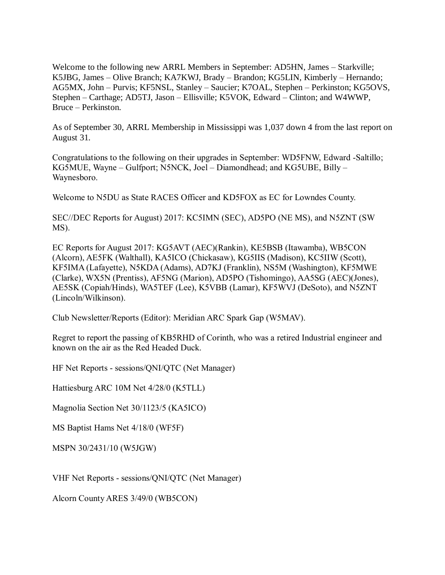Welcome to the following new ARRL Members in September: AD5HN, James – Starkville; K5JBG, James – Olive Branch; KA7KWJ, Brady – Brandon; KG5LIN, Kimberly – Hernando; AG5MX, John – Purvis; KF5NSL, Stanley – Saucier; K7OAL, Stephen – Perkinston; KG5OVS, Stephen – Carthage; AD5TJ, Jason – Ellisville; K5VOK, Edward – Clinton; and W4WWP, Bruce – Perkinston.

As of September 30, ARRL Membership in Mississippi was 1,037 down 4 from the last report on August 31.

Congratulations to the following on their upgrades in September: WD5FNW, Edward -Saltillo; KG5MUE, Wayne – Gulfport; N5NCK, Joel – Diamondhead; and KG5UBE, Billy – Waynesboro.

Welcome to N5DU as State RACES Officer and KD5FOX as EC for Lowndes County.

SEC//DEC Reports for August) 2017: KC5IMN (SEC), AD5PO (NE MS), and N5ZNT (SW MS).

EC Reports for August 2017: KG5AVT (AEC)(Rankin), KE5BSB (Itawamba), WB5CON (Alcorn), AE5FK (Walthall), KA5ICO (Chickasaw), KG5IIS (Madison), KC5IIW (Scott), KF5IMA (Lafayette), N5KDA (Adams), AD7KJ (Franklin), NS5M (Washington), KF5MWE (Clarke), WX5N (Prentiss), AF5NG (Marion), AD5PO (Tishomingo), AA5SG (AEC)(Jones), AE5SK (Copiah/Hinds), WA5TEF (Lee), K5VBB (Lamar), KF5WVJ (DeSoto), and N5ZNT (Lincoln/Wilkinson).

Club Newsletter/Reports (Editor): Meridian ARC Spark Gap (W5MAV).

Regret to report the passing of KB5RHD of Corinth, who was a retired Industrial engineer and known on the air as the Red Headed Duck.

HF Net Reports - sessions/QNI/QTC (Net Manager)

Hattiesburg ARC 10M Net 4/28/0 (K5TLL)

Magnolia Section Net 30/1123/5 (KA5ICO)

MS Baptist Hams Net 4/18/0 (WF5F)

MSPN 30/2431/10 (W5JGW)

VHF Net Reports - sessions/QNI/QTC (Net Manager)

Alcorn County ARES 3/49/0 (WB5CON)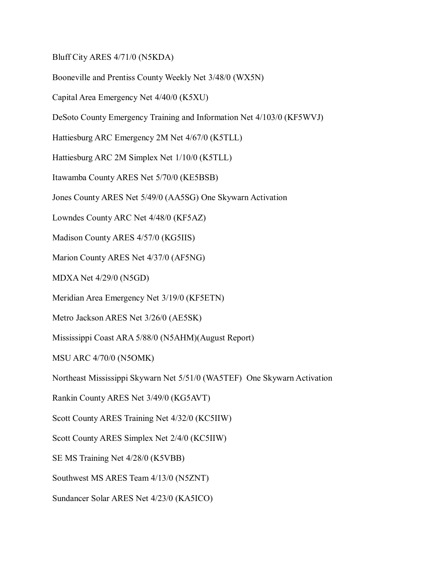Bluff City ARES 4/71/0 (N5KDA)

Booneville and Prentiss County Weekly Net 3/48/0 (WX5N)

Capital Area Emergency Net 4/40/0 (K5XU)

DeSoto County Emergency Training and Information Net 4/103/0 (KF5WVJ)

Hattiesburg ARC Emergency 2M Net 4/67/0 (K5TLL)

Hattiesburg ARC 2M Simplex Net 1/10/0 (K5TLL)

Itawamba County ARES Net 5/70/0 (KE5BSB)

Jones County ARES Net 5/49/0 (AA5SG) One Skywarn Activation

Lowndes County ARC Net 4/48/0 (KF5AZ)

Madison County ARES 4/57/0 (KG5IIS)

Marion County ARES Net 4/37/0 (AF5NG)

MDXA Net 4/29/0 (N5GD)

Meridian Area Emergency Net 3/19/0 (KF5ETN)

Metro Jackson ARES Net 3/26/0 (AE5SK)

Mississippi Coast ARA 5/88/0 (N5AHM)(August Report)

MSU ARC 4/70/0 (N5OMK)

Northeast Mississippi Skywarn Net 5/51/0 (WA5TEF) One Skywarn Activation

Rankin County ARES Net 3/49/0 (KG5AVT)

Scott County ARES Training Net 4/32/0 (KC5IIW)

Scott County ARES Simplex Net 2/4/0 (KC5IIW)

SE MS Training Net 4/28/0 (K5VBB)

Southwest MS ARES Team 4/13/0 (N5ZNT)

Sundancer Solar ARES Net 4/23/0 (KA5ICO)